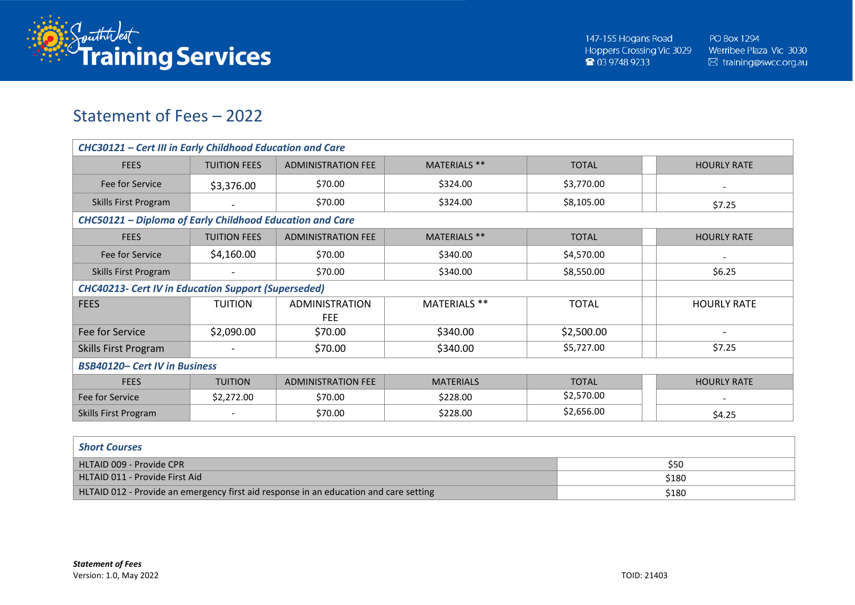

## Statement of Fees – 2022

| <b>CHC30121 - Cert III in Early Childhood Education and Care</b> |                          |                                     |                     |              |                          |  |
|------------------------------------------------------------------|--------------------------|-------------------------------------|---------------------|--------------|--------------------------|--|
| <b>FEES</b>                                                      | <b>TUITION FEES</b>      | <b>ADMINISTRATION FEE</b>           | <b>MATERIALS **</b> | <b>TOTAL</b> | <b>HOURLY RATE</b>       |  |
| Fee for Service                                                  | \$3,376.00               | \$70.00                             | \$324.00            | \$3,770.00   |                          |  |
| Skills First Program                                             |                          | \$70.00                             | \$324.00            | \$8,105.00   | \$7.25                   |  |
| CHC50121 - Diploma of Early Childhood Education and Care         |                          |                                     |                     |              |                          |  |
| <b>FEES</b>                                                      | <b>TUITION FEES</b>      | <b>ADMINISTRATION FEE</b>           | MATERIALS **        | <b>TOTAL</b> | <b>HOURLY RATE</b>       |  |
| Fee for Service                                                  | \$4,160.00               | \$70.00                             | \$340.00            | \$4,570.00   |                          |  |
| Skills First Program                                             | $\overline{\phantom{a}}$ | \$70.00                             | \$340.00            | \$8,550.00   | \$6.25                   |  |
| <b>CHC40213- Cert IV in Education Support (Superseded)</b>       |                          |                                     |                     |              |                          |  |
| <b>FEES</b>                                                      | <b>TUITION</b>           | <b>ADMINISTRATION</b><br><b>FEE</b> | MATERIALS **        | <b>TOTAL</b> | <b>HOURLY RATE</b>       |  |
| Fee for Service                                                  | \$2,090.00               | \$70.00                             | \$340.00            | \$2,500.00   | $\overline{\phantom{a}}$ |  |
| Skills First Program                                             |                          | \$70.00                             | \$340.00            | \$5,727.00   | \$7.25                   |  |
| <b>BSB40120- Cert IV in Business</b>                             |                          |                                     |                     |              |                          |  |
| <b>FEES</b>                                                      | <b>TUITION</b>           | <b>ADMINISTRATION FEE</b>           | <b>MATERIALS</b>    | <b>TOTAL</b> | <b>HOURLY RATE</b>       |  |
| Fee for Service                                                  | \$2,272.00               | \$70.00                             | \$228.00            | \$2,570.00   |                          |  |
| Skills First Program                                             | $\overline{\phantom{a}}$ | \$70.00                             | \$228.00            | \$2,656.00   | \$4.25                   |  |

| <b>Short Courses</b>                                                                  |       |
|---------------------------------------------------------------------------------------|-------|
| HLTAID 009 - Provide CPR                                                              | \$50  |
| HLTAID 011 - Provide First Aid                                                        | \$180 |
| HLTAID 012 - Provide an emergency first aid response in an education and care setting | \$180 |